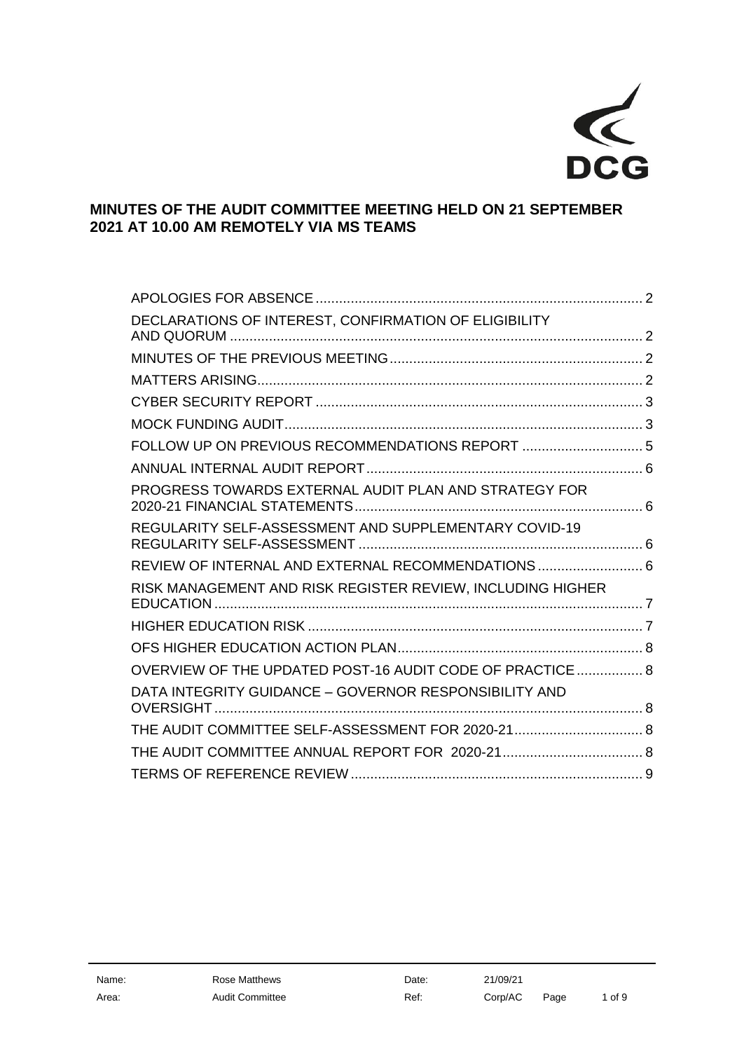

# **MINUTES OF THE AUDIT COMMITTEE MEETING HELD ON 21 SEPTEMBER 2021 AT 10.00 AM REMOTELY VIA MS TEAMS**

| DECLARATIONS OF INTEREST, CONFIRMATION OF ELIGIBILITY      |  |
|------------------------------------------------------------|--|
|                                                            |  |
|                                                            |  |
|                                                            |  |
|                                                            |  |
|                                                            |  |
|                                                            |  |
| PROGRESS TOWARDS EXTERNAL AUDIT PLAN AND STRATEGY FOR      |  |
| REGULARITY SELF-ASSESSMENT AND SUPPLEMENTARY COVID-19      |  |
| REVIEW OF INTERNAL AND EXTERNAL RECOMMENDATIONS  6         |  |
| RISK MANAGEMENT AND RISK REGISTER REVIEW, INCLUDING HIGHER |  |
|                                                            |  |
|                                                            |  |
| OVERVIEW OF THE UPDATED POST-16 AUDIT CODE OF PRACTICE 8   |  |
| DATA INTEGRITY GUIDANCE - GOVERNOR RESPONSIBILITY AND      |  |
| THE AUDIT COMMITTEE SELF-ASSESSMENT FOR 2020-21 8          |  |
|                                                            |  |
|                                                            |  |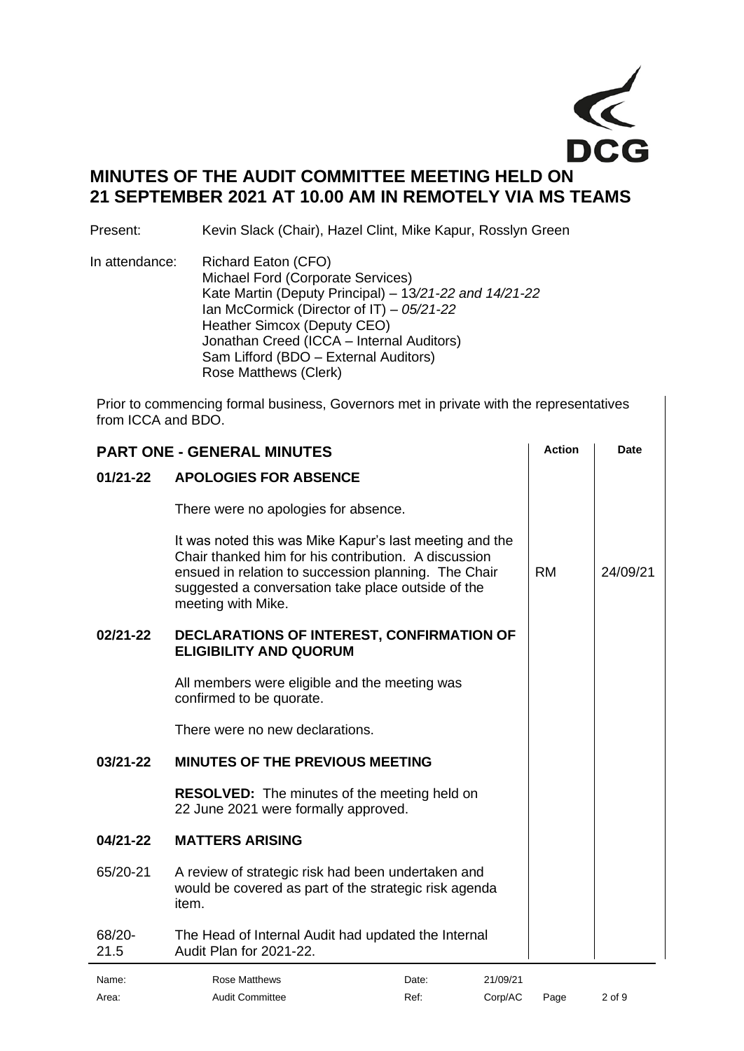

# **MINUTES OF THE AUDIT COMMITTEE MEETING HELD ON 21 SEPTEMBER 2021 AT 10.00 AM IN REMOTELY VIA MS TEAMS**

Present: Kevin Slack (Chair), Hazel Clint, Mike Kapur, Rosslyn Green

In attendance: Richard Eaton (CFO) Michael Ford (Corporate Services) Kate Martin (Deputy Principal) – 13*/21-22 and 14/21-22*  Ian McCormick (Director of IT) – *05/21-22* Heather Simcox (Deputy CEO) Jonathan Creed (ICCA – Internal Auditors) Sam Lifford (BDO – External Auditors) Rose Matthews (Clerk)

Prior to commencing formal business, Governors met in private with the representatives from ICCA and BDO.

<span id="page-1-1"></span><span id="page-1-0"></span>

| <b>PART ONE - GENERAL MINUTES</b> |                                                                                                                                                                                                                                                     |       | <b>Action</b> | <b>Date</b> |          |
|-----------------------------------|-----------------------------------------------------------------------------------------------------------------------------------------------------------------------------------------------------------------------------------------------------|-------|---------------|-------------|----------|
| $01/21 - 22$                      | <b>APOLOGIES FOR ABSENCE</b>                                                                                                                                                                                                                        |       |               |             |          |
|                                   | There were no apologies for absence.                                                                                                                                                                                                                |       |               |             |          |
|                                   | It was noted this was Mike Kapur's last meeting and the<br>Chair thanked him for his contribution. A discussion<br>ensued in relation to succession planning. The Chair<br>suggested a conversation take place outside of the<br>meeting with Mike. |       |               | <b>RM</b>   | 24/09/21 |
| 02/21-22                          | DECLARATIONS OF INTEREST, CONFIRMATION OF<br><b>ELIGIBILITY AND QUORUM</b>                                                                                                                                                                          |       |               |             |          |
|                                   | All members were eligible and the meeting was<br>confirmed to be quorate.                                                                                                                                                                           |       |               |             |          |
|                                   | There were no new declarations.                                                                                                                                                                                                                     |       |               |             |          |
| 03/21-22                          | <b>MINUTES OF THE PREVIOUS MEETING</b>                                                                                                                                                                                                              |       |               |             |          |
|                                   | <b>RESOLVED:</b> The minutes of the meeting held on<br>22 June 2021 were formally approved.                                                                                                                                                         |       |               |             |          |
| 04/21-22                          | <b>MATTERS ARISING</b>                                                                                                                                                                                                                              |       |               |             |          |
| 65/20-21                          | A review of strategic risk had been undertaken and<br>would be covered as part of the strategic risk agenda<br>item.                                                                                                                                |       |               |             |          |
| $68/20 -$<br>21.5                 | The Head of Internal Audit had updated the Internal<br>Audit Plan for 2021-22.                                                                                                                                                                      |       |               |             |          |
| Name:                             | <b>Rose Matthews</b>                                                                                                                                                                                                                                | Date: | 21/09/21      |             |          |

<span id="page-1-3"></span><span id="page-1-2"></span>Area: Audit Committee Ref: Corp/AC Page 2 of 9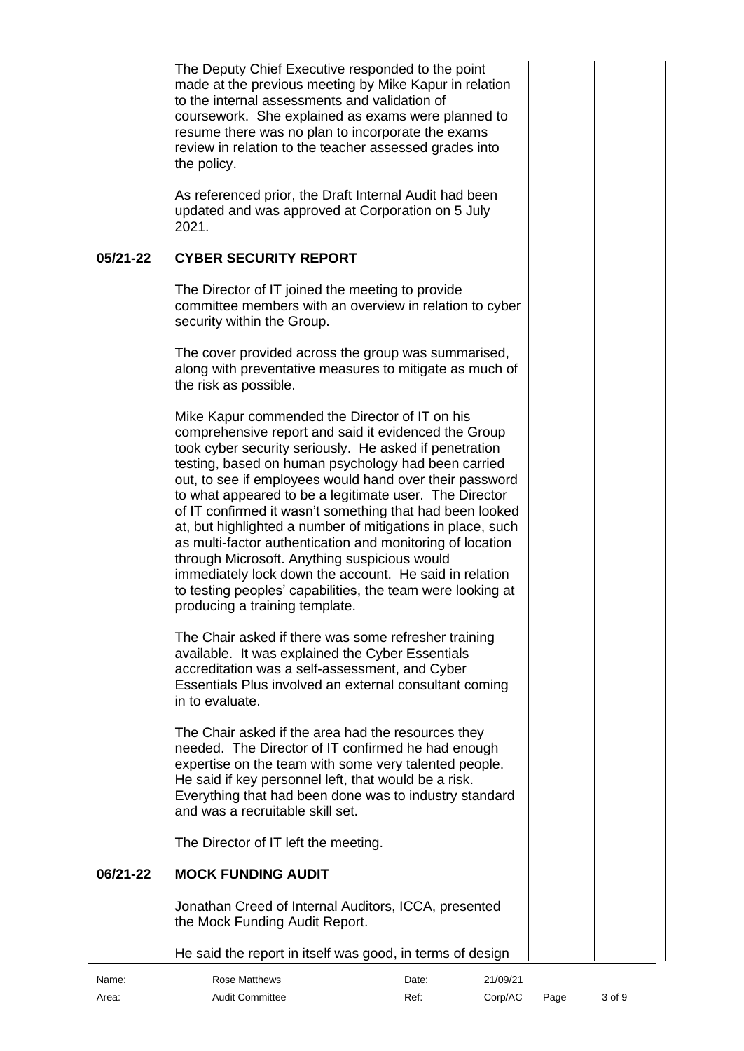The Deputy Chief Executive responded to the point made at the previous meeting by Mike Kapur in relation to the internal assessments and validation of coursework. She explained as exams were planned to resume there was no plan to incorporate the exams review in relation to the teacher assessed grades into the policy.

As referenced prior, the Draft Internal Audit had been updated and was approved at Corporation on 5 July 2021.

#### **05/21-22 CYBER SECURITY REPORT**

<span id="page-2-0"></span>The Director of IT joined the meeting to provide committee members with an overview in relation to cyber security within the Group.

The cover provided across the group was summarised, along with preventative measures to mitigate as much of the risk as possible.

Mike Kapur commended the Director of IT on his comprehensive report and said it evidenced the Group took cyber security seriously. He asked if penetration testing, based on human psychology had been carried out, to see if employees would hand over their password to what appeared to be a legitimate user. The Director of IT confirmed it wasn't something that had been looked at, but highlighted a number of mitigations in place, such as multi-factor authentication and monitoring of location through Microsoft. Anything suspicious would immediately lock down the account. He said in relation to testing peoples' capabilities, the team were looking at producing a training template.

The Chair asked if there was some refresher training available. It was explained the Cyber Essentials accreditation was a self-assessment, and Cyber Essentials Plus involved an external consultant coming in to evaluate.

The Chair asked if the area had the resources they needed. The Director of IT confirmed he had enough expertise on the team with some very talented people. He said if key personnel left, that would be a risk. Everything that had been done was to industry standard and was a recruitable skill set.

<span id="page-2-1"></span>The Director of IT left the meeting.

# **06/21-22 MOCK FUNDING AUDIT**

Jonathan Creed of Internal Auditors, ICCA, presented the Mock Funding Audit Report.

He said the report in itself was good, in terms of design

| Name: | Rose Matthews          | Date: | 21/09/21 |      |        |
|-------|------------------------|-------|----------|------|--------|
| Area: | <b>Audit Committee</b> | Ref:  | Corp/AC  | Page | 3 of 9 |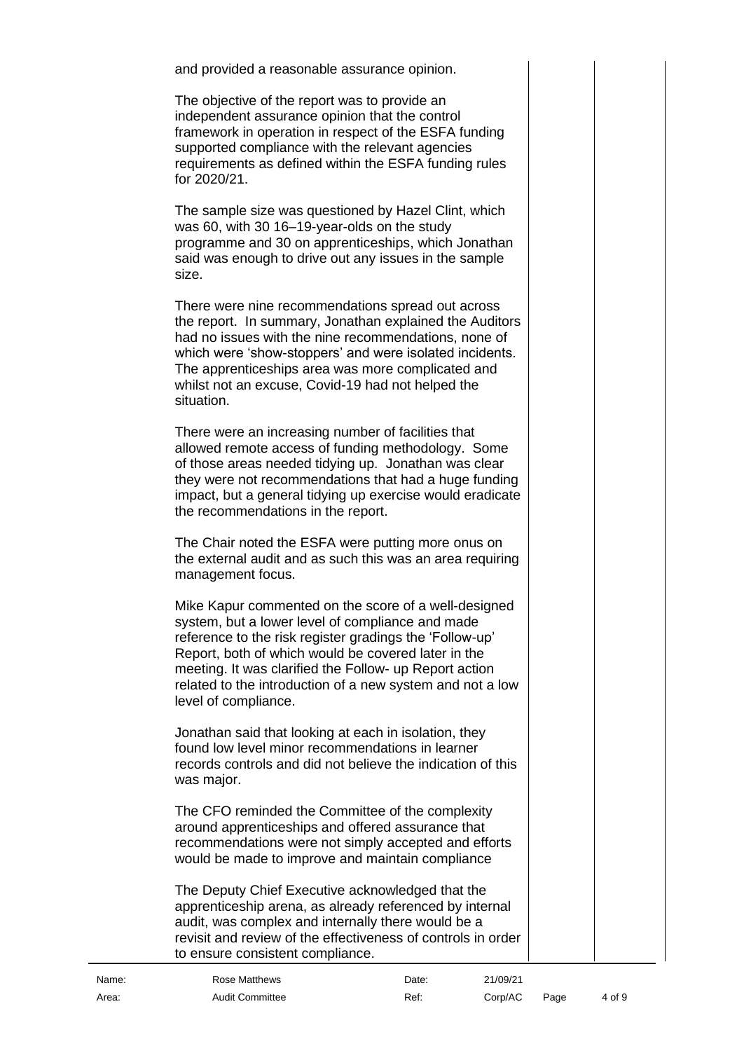and provided a reasonable assurance opinion.

The objective of the report was to provide an independent assurance opinion that the control framework in operation in respect of the ESFA funding supported compliance with the relevant agencies requirements as defined within the ESFA funding rules for 2020/21.

The sample size was questioned by Hazel Clint, which was 60, with 30 16–19-year-olds on the study programme and 30 on apprenticeships, which Jonathan said was enough to drive out any issues in the sample size.

There were nine recommendations spread out across the report. In summary, Jonathan explained the Auditors had no issues with the nine recommendations, none of which were 'show-stoppers' and were isolated incidents. The apprenticeships area was more complicated and whilst not an excuse, Covid-19 had not helped the situation.

There were an increasing number of facilities that allowed remote access of funding methodology. Some of those areas needed tidying up. Jonathan was clear they were not recommendations that had a huge funding impact, but a general tidying up exercise would eradicate the recommendations in the report.

The Chair noted the ESFA were putting more onus on the external audit and as such this was an area requiring management focus.

Mike Kapur commented on the score of a well-designed system, but a lower level of compliance and made reference to the risk register gradings the 'Follow-up' Report, both of which would be covered later in the meeting. It was clarified the Follow- up Report action related to the introduction of a new system and not a low level of compliance.

Jonathan said that looking at each in isolation, they found low level minor recommendations in learner records controls and did not believe the indication of this was major.

The CFO reminded the Committee of the complexity around apprenticeships and offered assurance that recommendations were not simply accepted and efforts would be made to improve and maintain compliance

The Deputy Chief Executive acknowledged that the apprenticeship arena, as already referenced by internal audit, was complex and internally there would be a revisit and review of the effectiveness of controls in order to ensure consistent compliance.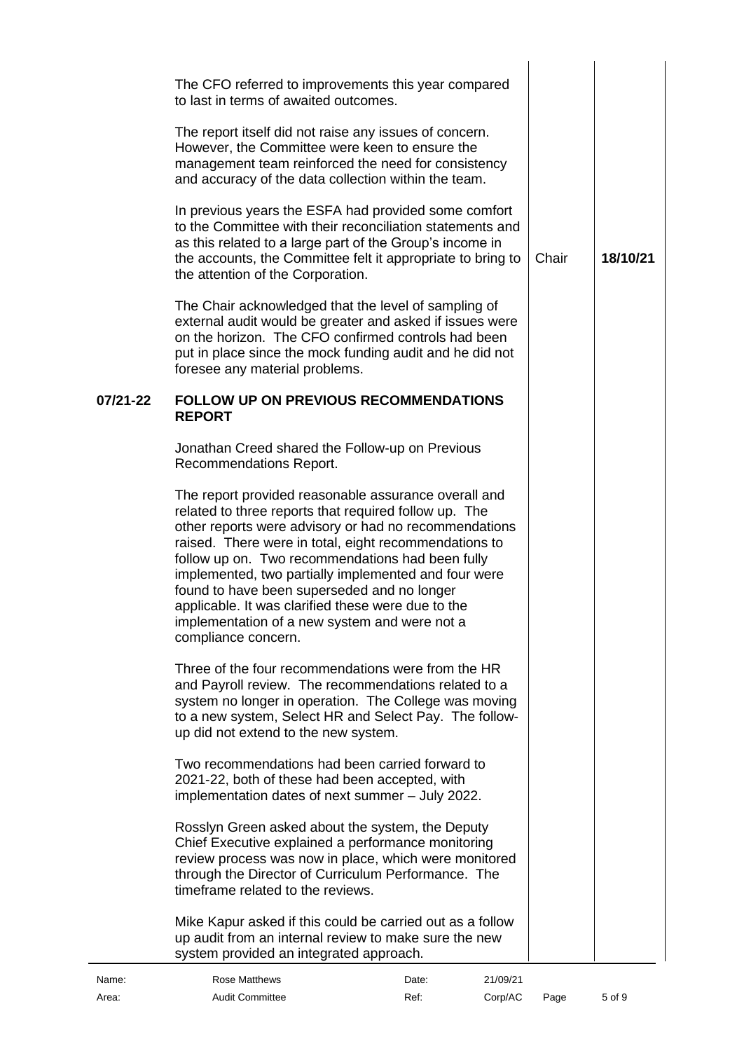<span id="page-4-0"></span>

|          | The CFO referred to improvements this year compared<br>to last in terms of awaited outcomes.<br>The report itself did not raise any issues of concern.<br>However, the Committee were keen to ensure the<br>management team reinforced the need for consistency<br>and accuracy of the data collection within the team.<br>In previous years the ESFA had provided some comfort<br>to the Committee with their reconciliation statements and<br>as this related to a large part of the Group's income in<br>the accounts, the Committee felt it appropriate to bring to<br>the attention of the Corporation.<br>The Chair acknowledged that the level of sampling of<br>external audit would be greater and asked if issues were<br>on the horizon. The CFO confirmed controls had been<br>put in place since the mock funding audit and he did not            | Chair | 18/10/21 |
|----------|----------------------------------------------------------------------------------------------------------------------------------------------------------------------------------------------------------------------------------------------------------------------------------------------------------------------------------------------------------------------------------------------------------------------------------------------------------------------------------------------------------------------------------------------------------------------------------------------------------------------------------------------------------------------------------------------------------------------------------------------------------------------------------------------------------------------------------------------------------------|-------|----------|
| 07/21-22 | foresee any material problems.<br><b>FOLLOW UP ON PREVIOUS RECOMMENDATIONS</b><br><b>REPORT</b><br>Jonathan Creed shared the Follow-up on Previous<br>Recommendations Report.<br>The report provided reasonable assurance overall and<br>related to three reports that required follow up. The<br>other reports were advisory or had no recommendations<br>raised. There were in total, eight recommendations to<br>follow up on. Two recommendations had been fully<br>implemented, two partially implemented and four were<br>found to have been superseded and no longer<br>applicable. It was clarified these were due to the<br>implementation of a new system and were not a<br>compliance concern.                                                                                                                                                      |       |          |
|          | Three of the four recommendations were from the HR<br>and Payroll review. The recommendations related to a<br>system no longer in operation. The College was moving<br>to a new system, Select HR and Select Pay. The follow-<br>up did not extend to the new system.<br>Two recommendations had been carried forward to<br>2021-22, both of these had been accepted, with<br>implementation dates of next summer - July 2022.<br>Rosslyn Green asked about the system, the Deputy<br>Chief Executive explained a performance monitoring<br>review process was now in place, which were monitored<br>through the Director of Curriculum Performance. The<br>timeframe related to the reviews.<br>Mike Kapur asked if this could be carried out as a follow<br>up audit from an internal review to make sure the new<br>system provided an integrated approach. |       |          |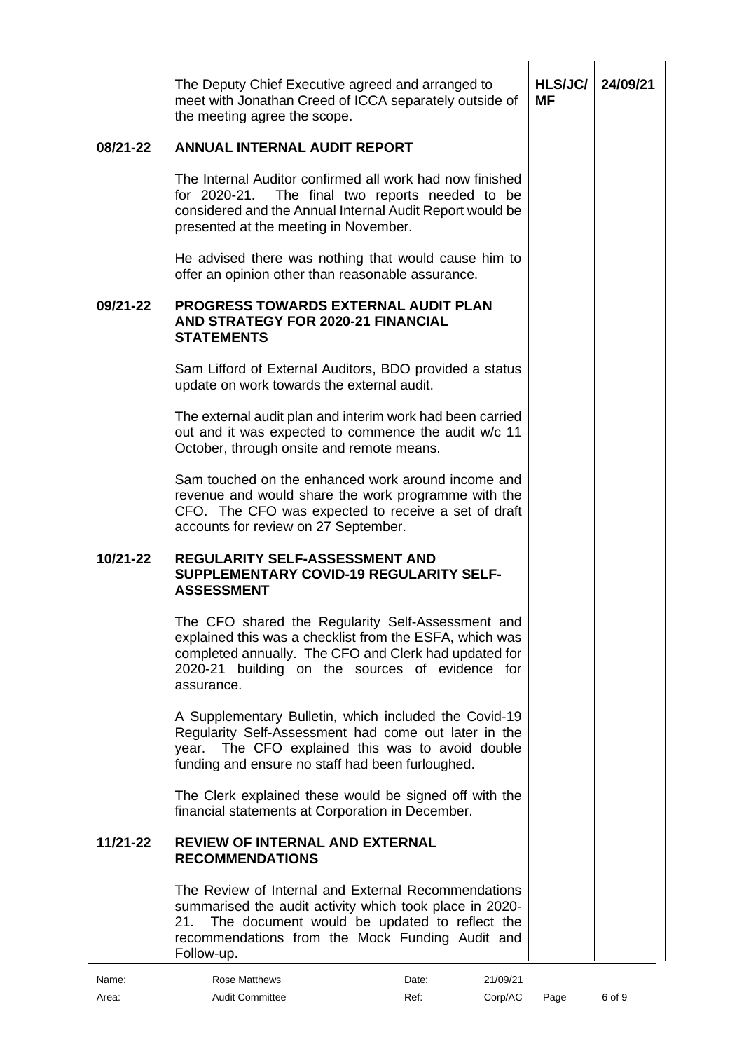<span id="page-5-2"></span><span id="page-5-1"></span><span id="page-5-0"></span>

|          | The Deputy Chief Executive agreed and arranged to<br>meet with Jonathan Creed of ICCA separately outside of<br>the meeting agree the scope.                                                                                            | <b>HLS/JC/</b><br>МF | 24/09/21 |
|----------|----------------------------------------------------------------------------------------------------------------------------------------------------------------------------------------------------------------------------------------|----------------------|----------|
| 08/21-22 | <b>ANNUAL INTERNAL AUDIT REPORT</b>                                                                                                                                                                                                    |                      |          |
|          | The Internal Auditor confirmed all work had now finished<br>for 2020-21.<br>The final two reports needed to be<br>considered and the Annual Internal Audit Report would be<br>presented at the meeting in November.                    |                      |          |
|          | He advised there was nothing that would cause him to<br>offer an opinion other than reasonable assurance.                                                                                                                              |                      |          |
| 09/21-22 | <b>PROGRESS TOWARDS EXTERNAL AUDIT PLAN</b><br><b>AND STRATEGY FOR 2020-21 FINANCIAL</b><br><b>STATEMENTS</b>                                                                                                                          |                      |          |
|          | Sam Lifford of External Auditors, BDO provided a status<br>update on work towards the external audit.                                                                                                                                  |                      |          |
|          | The external audit plan and interim work had been carried<br>out and it was expected to commence the audit w/c 11<br>October, through onsite and remote means.                                                                         |                      |          |
|          | Sam touched on the enhanced work around income and<br>revenue and would share the work programme with the<br>CFO. The CFO was expected to receive a set of draft<br>accounts for review on 27 September.                               |                      |          |
| 10/21-22 | REGULARITY SELF-ASSESSMENT AND<br><b>SUPPLEMENTARY COVID-19 REGULARITY SELF-</b><br><b>ASSESSMENT</b>                                                                                                                                  |                      |          |
|          | The CFO shared the Regularity Self-Assessment and<br>explained this was a checklist from the ESFA, which was<br>completed annually. The CFO and Clerk had updated for<br>2020-21 building on the sources of evidence for<br>assurance. |                      |          |
|          | A Supplementary Bulletin, which included the Covid-19<br>Regularity Self-Assessment had come out later in the<br>year. The CFO explained this was to avoid double<br>funding and ensure no staff had been furloughed.                  |                      |          |
|          | The Clerk explained these would be signed off with the<br>financial statements at Corporation in December.                                                                                                                             |                      |          |
| 11/21-22 | <b>REVIEW OF INTERNAL AND EXTERNAL</b><br><b>RECOMMENDATIONS</b>                                                                                                                                                                       |                      |          |
|          | The Review of Internal and External Recommendations<br>summarised the audit activity which took place in 2020-<br>The document would be updated to reflect the<br>21.<br>recommendations from the Mock Funding Audit and<br>Follow-up. |                      |          |
| Name:    | <b>Rose Matthews</b><br>21/09/21<br>Date:                                                                                                                                                                                              |                      |          |

<span id="page-5-3"></span>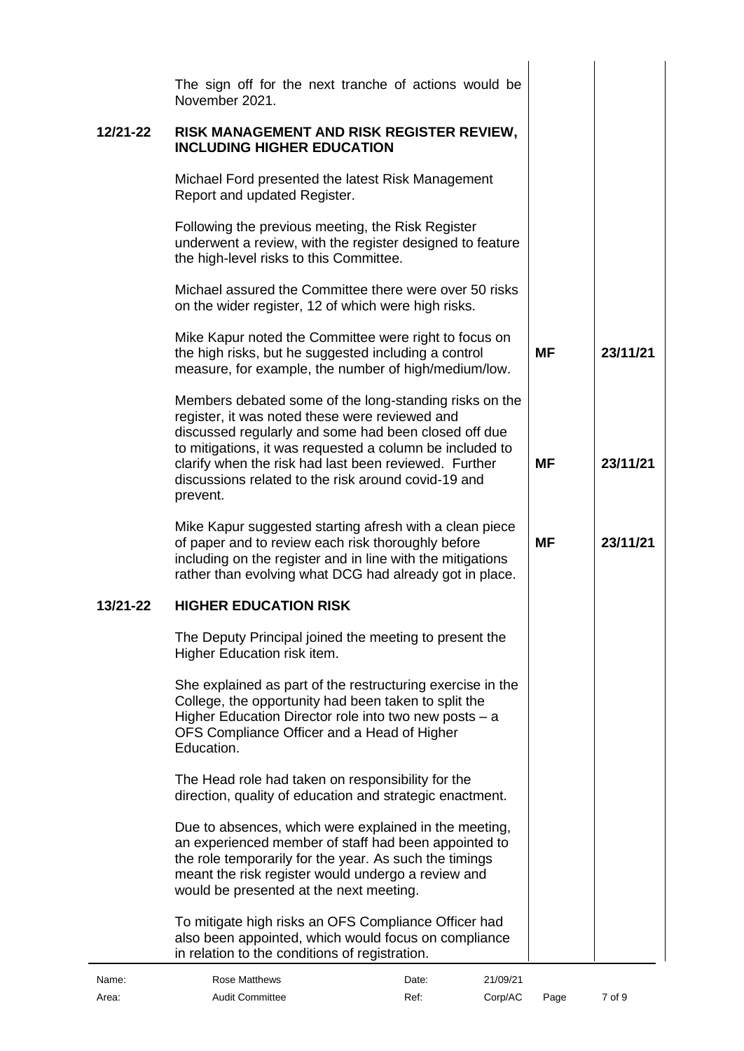<span id="page-6-1"></span><span id="page-6-0"></span>

|          | The sign off for the next tranche of actions would be                                                                                                                                                                                                                                 |           |          |
|----------|---------------------------------------------------------------------------------------------------------------------------------------------------------------------------------------------------------------------------------------------------------------------------------------|-----------|----------|
|          | November 2021.                                                                                                                                                                                                                                                                        |           |          |
| 12/21-22 | RISK MANAGEMENT AND RISK REGISTER REVIEW,<br><b>INCLUDING HIGHER EDUCATION</b>                                                                                                                                                                                                        |           |          |
|          | Michael Ford presented the latest Risk Management<br>Report and updated Register.                                                                                                                                                                                                     |           |          |
|          | Following the previous meeting, the Risk Register<br>underwent a review, with the register designed to feature<br>the high-level risks to this Committee.                                                                                                                             |           |          |
|          | Michael assured the Committee there were over 50 risks<br>on the wider register, 12 of which were high risks.                                                                                                                                                                         |           |          |
|          | Mike Kapur noted the Committee were right to focus on<br>the high risks, but he suggested including a control<br>measure, for example, the number of high/medium/low.                                                                                                                 | <b>MF</b> | 23/11/21 |
|          | Members debated some of the long-standing risks on the<br>register, it was noted these were reviewed and<br>discussed regularly and some had been closed off due<br>to mitigations, it was requested a column be included to<br>clarify when the risk had last been reviewed. Further | МF        | 23/11/21 |
|          | discussions related to the risk around covid-19 and<br>prevent.                                                                                                                                                                                                                       |           |          |
|          | Mike Kapur suggested starting afresh with a clean piece<br>of paper and to review each risk thoroughly before<br>including on the register and in line with the mitigations<br>rather than evolving what DCG had already got in place.                                                | МF        | 23/11/21 |
| 13/21-22 | <b>HIGHER EDUCATION RISK</b>                                                                                                                                                                                                                                                          |           |          |
|          | The Deputy Principal joined the meeting to present the<br>Higher Education risk item.                                                                                                                                                                                                 |           |          |
|          | She explained as part of the restructuring exercise in the<br>College, the opportunity had been taken to split the<br>Higher Education Director role into two new posts - a<br>OFS Compliance Officer and a Head of Higher<br>Education.                                              |           |          |
|          | The Head role had taken on responsibility for the<br>direction, quality of education and strategic enactment.                                                                                                                                                                         |           |          |
|          | Due to absences, which were explained in the meeting,<br>an experienced member of staff had been appointed to<br>the role temporarily for the year. As such the timings<br>meant the risk register would undergo a review and<br>would be presented at the next meeting.              |           |          |
|          | To mitigate high risks an OFS Compliance Officer had<br>also been appointed, which would focus on compliance<br>in relation to the conditions of registration.                                                                                                                        |           |          |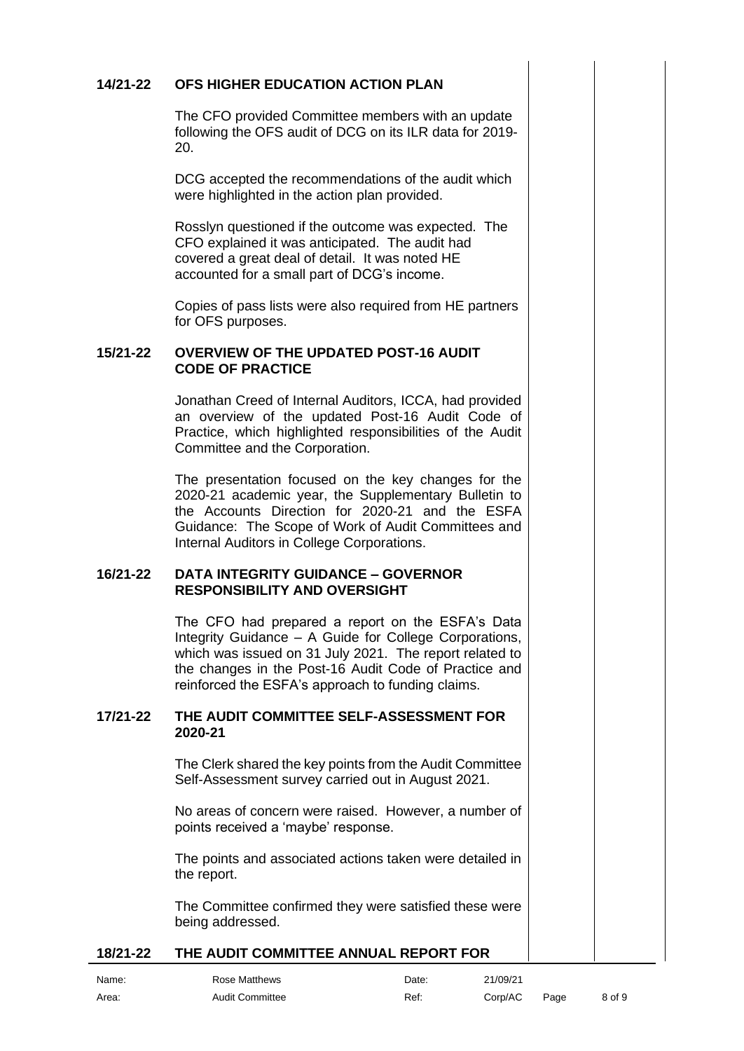# **14/21-22 OFS HIGHER EDUCATION ACTION PLAN**

<span id="page-7-0"></span>The CFO provided Committee members with an update following the OFS audit of DCG on its ILR data for 2019- 20.

DCG accepted the recommendations of the audit which were highlighted in the action plan provided.

Rosslyn questioned if the outcome was expected. The CFO explained it was anticipated. The audit had covered a great deal of detail. It was noted HE accounted for a small part of DCG's income.

<span id="page-7-1"></span>Copies of pass lists were also required from HE partners for OFS purposes.

#### **15/21-22 OVERVIEW OF THE UPDATED POST-16 AUDIT CODE OF PRACTICE**

Jonathan Creed of Internal Auditors, ICCA, had provided an overview of the updated Post-16 Audit Code of Practice, which highlighted responsibilities of the Audit Committee and the Corporation.

The presentation focused on the key changes for the 2020-21 academic year, the Supplementary Bulletin to the Accounts Direction for 2020-21 and the ESFA Guidance: The Scope of Work of Audit Committees and Internal Auditors in College Corporations.

#### **16/21-22 DATA INTEGRITY GUIDANCE – GOVERNOR RESPONSIBILITY AND OVERSIGHT**

<span id="page-7-2"></span>The CFO had prepared a report on the ESFA's Data Integrity Guidance – A Guide for College Corporations, which was issued on 31 July 2021. The report related to the changes in the Post-16 Audit Code of Practice and reinforced the ESFA's approach to funding claims.

#### **17/21-22 THE AUDIT COMMITTEE SELF-ASSESSMENT FOR 2020-21**

<span id="page-7-3"></span>The Clerk shared the key points from the Audit Committee Self-Assessment survey carried out in August 2021.

No areas of concern were raised. However, a number of points received a 'maybe' response.

The points and associated actions taken were detailed in the report.

<span id="page-7-4"></span>The Committee confirmed they were satisfied these were being addressed.

# **18/21-22 THE AUDIT COMMITTEE ANNUAL REPORT FOR**

| Name: |  |
|-------|--|
| Area: |  |